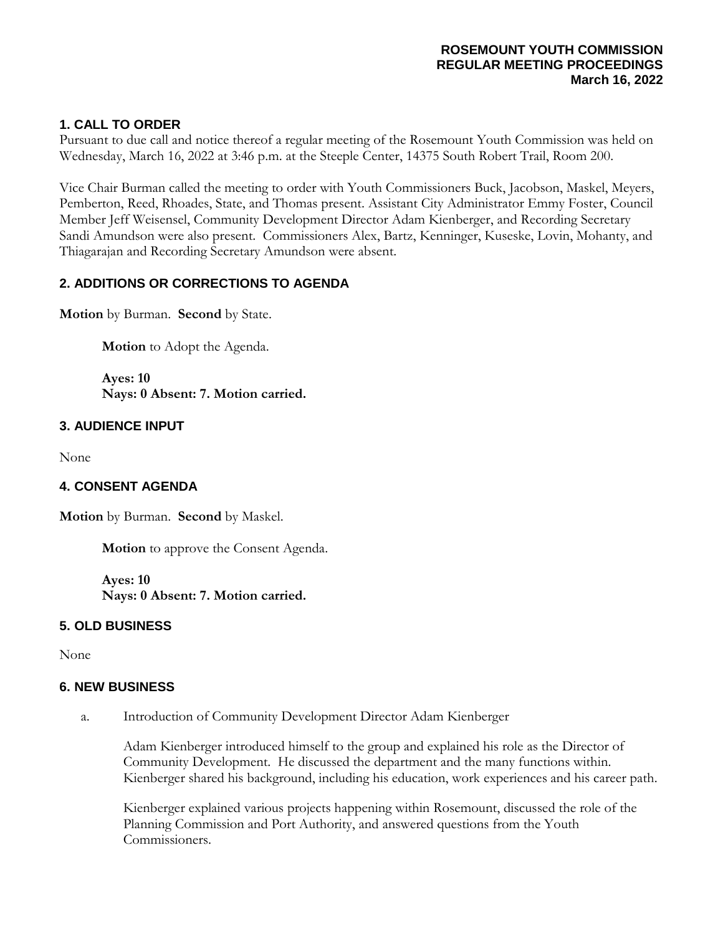#### **ROSEMOUNT YOUTH COMMISSION REGULAR MEETING PROCEEDINGS March 16, 2022**

# **1. CALL TO ORDER**

Pursuant to due call and notice thereof a regular meeting of the Rosemount Youth Commission was held on Wednesday, March 16, 2022 at 3:46 p.m. at the Steeple Center, 14375 South Robert Trail, Room 200.

Vice Chair Burman called the meeting to order with Youth Commissioners Buck, Jacobson, Maskel, Meyers, Pemberton, Reed, Rhoades, State, and Thomas present. Assistant City Administrator Emmy Foster, Council Member Jeff Weisensel, Community Development Director Adam Kienberger, and Recording Secretary Sandi Amundson were also present. Commissioners Alex, Bartz, Kenninger, Kuseske, Lovin, Mohanty, and Thiagarajan and Recording Secretary Amundson were absent.

## **2. ADDITIONS OR CORRECTIONS TO AGENDA**

**Motion** by Burman. **Second** by State.

**Motion** to Adopt the Agenda.

**Ayes: 10 Nays: 0 Absent: 7. Motion carried.**

### **3. AUDIENCE INPUT**

None

### **4. CONSENT AGENDA**

**Motion** by Burman. **Second** by Maskel.

**Motion** to approve the Consent Agenda.

**Ayes: 10 Nays: 0 Absent: 7. Motion carried.**

### **5. OLD BUSINESS**

None

### **6. NEW BUSINESS**

a. Introduction of Community Development Director Adam Kienberger

Adam Kienberger introduced himself to the group and explained his role as the Director of Community Development. He discussed the department and the many functions within. Kienberger shared his background, including his education, work experiences and his career path.

Kienberger explained various projects happening within Rosemount, discussed the role of the Planning Commission and Port Authority, and answered questions from the Youth Commissioners.